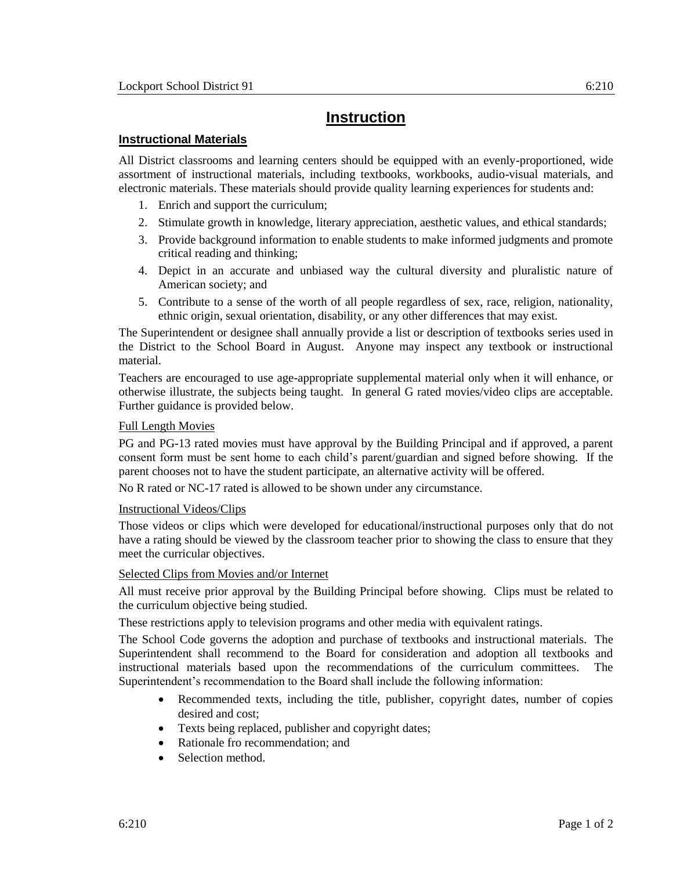# **Instruction**

## **Instructional Materials**

All District classrooms and learning centers should be equipped with an evenly-proportioned, wide assortment of instructional materials, including textbooks, workbooks, audio-visual materials, and electronic materials. These materials should provide quality learning experiences for students and:

- 1. Enrich and support the curriculum;
- 2. Stimulate growth in knowledge, literary appreciation, aesthetic values, and ethical standards;
- 3. Provide background information to enable students to make informed judgments and promote critical reading and thinking;
- 4. Depict in an accurate and unbiased way the cultural diversity and pluralistic nature of American society; and
- 5. Contribute to a sense of the worth of all people regardless of sex, race, religion, nationality, ethnic origin, sexual orientation, disability, or any other differences that may exist.

The Superintendent or designee shall annually provide a list or description of textbooks series used in the District to the School Board in August. Anyone may inspect any textbook or instructional material.

Teachers are encouraged to use age-appropriate supplemental material only when it will enhance, or otherwise illustrate, the subjects being taught. In general G rated movies/video clips are acceptable. Further guidance is provided below.

### Full Length Movies

PG and PG-13 rated movies must have approval by the Building Principal and if approved, a parent consent form must be sent home to each child's parent/guardian and signed before showing. If the parent chooses not to have the student participate, an alternative activity will be offered.

No R rated or NC-17 rated is allowed to be shown under any circumstance.

### Instructional Videos/Clips

Those videos or clips which were developed for educational/instructional purposes only that do not have a rating should be viewed by the classroom teacher prior to showing the class to ensure that they meet the curricular objectives.

### Selected Clips from Movies and/or Internet

All must receive prior approval by the Building Principal before showing. Clips must be related to the curriculum objective being studied.

These restrictions apply to television programs and other media with equivalent ratings.

The School Code governs the adoption and purchase of textbooks and instructional materials. The Superintendent shall recommend to the Board for consideration and adoption all textbooks and instructional materials based upon the recommendations of the curriculum committees. The Superintendent's recommendation to the Board shall include the following information:

- Recommended texts, including the title, publisher, copyright dates, number of copies desired and cost;
- Texts being replaced, publisher and copyright dates;
- Rationale fro recommendation; and
- Selection method.